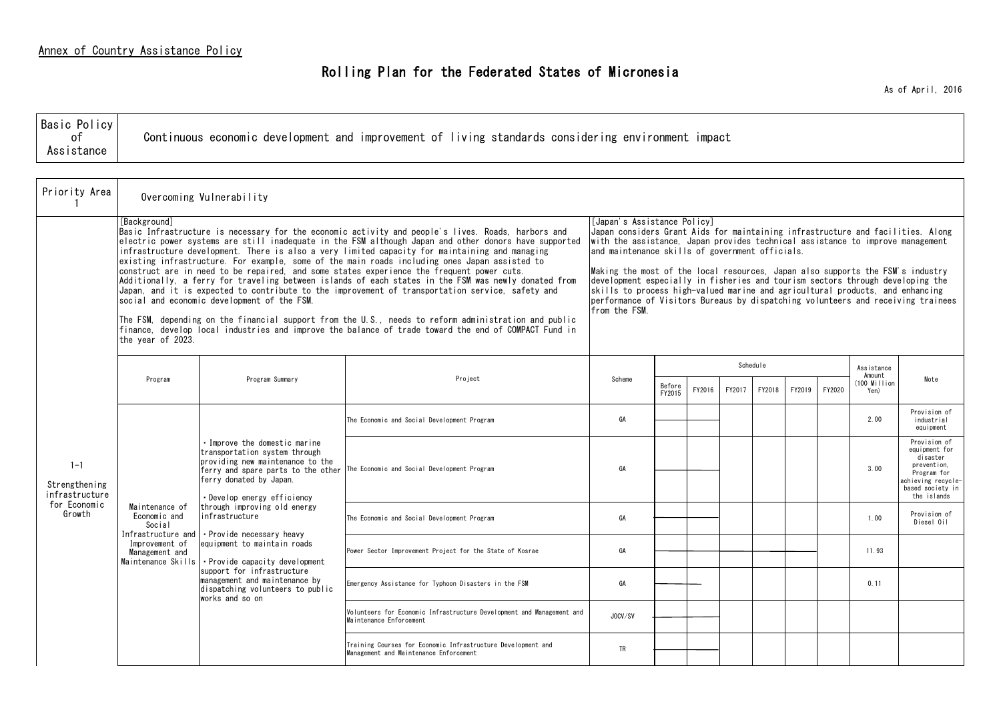## Rolling Plan for the Federated States of Micronesia

As of April, 2016

| <b>Basic Policy</b><br>Assistance | Continuous economic development and improvement of living standards considering environment<br>ımpact |  |
|-----------------------------------|-------------------------------------------------------------------------------------------------------|--|
|-----------------------------------|-------------------------------------------------------------------------------------------------------|--|

| Priority Area                              | Overcoming Vulnerability                                                                                                                                                                                                                                                                                                                                                                                                                                                                                                                                                                                                                                                                                                                                                                                                                                                                                                                                                                                                     |                                                                                                                                                                                                                                                                                                                                                                                                                                                                                                                                                                                                               |                                                                                                        |           |                  |        |        |          |        |        |                                      |                                                                                                                                  |
|--------------------------------------------|------------------------------------------------------------------------------------------------------------------------------------------------------------------------------------------------------------------------------------------------------------------------------------------------------------------------------------------------------------------------------------------------------------------------------------------------------------------------------------------------------------------------------------------------------------------------------------------------------------------------------------------------------------------------------------------------------------------------------------------------------------------------------------------------------------------------------------------------------------------------------------------------------------------------------------------------------------------------------------------------------------------------------|---------------------------------------------------------------------------------------------------------------------------------------------------------------------------------------------------------------------------------------------------------------------------------------------------------------------------------------------------------------------------------------------------------------------------------------------------------------------------------------------------------------------------------------------------------------------------------------------------------------|--------------------------------------------------------------------------------------------------------|-----------|------------------|--------|--------|----------|--------|--------|--------------------------------------|----------------------------------------------------------------------------------------------------------------------------------|
|                                            | [Background]<br>Basic Infrastructure is necessary for the economic activity and people's lives. Roads, harbors and<br>lelectric power svstems are still inadequate in the FSM although Japan and other donors have supported<br>infrastructure development. There is also a very limited capacity for maintaining and managing<br>existing infrastructure. For example, some of the main roads including ones Japan assisted to<br>construct are in need to be repaired, and some states experience the frequent power cuts.<br>Additionally, a ferry for traveling between islands of each states in the FSM was newly donated from<br>Japan, and it is expected to contribute to the improvement of transportation service, safety and<br>social and economic development of the FSM.<br>The FSM, depending on the financial support from the U.S., needs to reform administration and public<br>finance, develop local industries and improve the balance of trade toward the end of COMPACT Fund in<br>the year of 2023. | [Japan's Assistance Policy]<br>Japan considers Grant Aids for maintaining infrastructure and facilities. Along<br>with the assistance. Japan provides technical assistance to improve management<br>and maintenance skills of government officials.<br>Making the most of the local resources, Japan also supports the FSM's industry<br>development especially in fisheries and tourism sectors through developing the<br>skills to process high-valued marine and agricultural products, and enhancing<br>berformance of Visitors Bureaus by dispatching volunteers and receiving trainees<br>from the FSM. |                                                                                                        |           |                  |        |        |          |        |        |                                      |                                                                                                                                  |
|                                            | Program                                                                                                                                                                                                                                                                                                                                                                                                                                                                                                                                                                                                                                                                                                                                                                                                                                                                                                                                                                                                                      | Program Summary                                                                                                                                                                                                                                                                                                                                                                                                                                                                                                                                                                                               | Project                                                                                                | Scheme    |                  |        |        | Schedule |        |        | Assistance<br>Amount<br>(100 Million | Note                                                                                                                             |
|                                            |                                                                                                                                                                                                                                                                                                                                                                                                                                                                                                                                                                                                                                                                                                                                                                                                                                                                                                                                                                                                                              |                                                                                                                                                                                                                                                                                                                                                                                                                                                                                                                                                                                                               |                                                                                                        |           | Before<br>FY2015 | FY2016 | FY2017 | FY2018   | FY2019 | FY2020 | Yen)                                 |                                                                                                                                  |
|                                            |                                                                                                                                                                                                                                                                                                                                                                                                                                                                                                                                                                                                                                                                                                                                                                                                                                                                                                                                                                                                                              | . Improve the domestic marine<br>transportation system through<br>providing new maintenance to the<br>ferry and spare parts to the other<br>ferry donated by Japan.<br>• Develop energy efficiency<br>through improving old energy<br>infrastructure<br>Social<br>Infrastructure and<br>• Provide necessary heavy<br>equipment to maintain roads<br>• Provide capacity development<br>support for infrastructure<br>management and maintenance by<br>dispatching volunteers to public<br>works and so on                                                                                                      | The Economic and Social Development Program                                                            | GA        |                  |        |        |          |        |        | 2.00                                 | Provision of<br>industrial<br>equipment                                                                                          |
| $1 - 1$<br>Strengthening<br>infrastructure |                                                                                                                                                                                                                                                                                                                                                                                                                                                                                                                                                                                                                                                                                                                                                                                                                                                                                                                                                                                                                              |                                                                                                                                                                                                                                                                                                                                                                                                                                                                                                                                                                                                               | The Economic and Social Development Program                                                            | GA        |                  |        |        |          |        |        | 3.00                                 | Provision of<br>equipment for<br>disaster<br>prevention.<br>Program for<br>achieving recvole-<br>based society in<br>the islands |
| for Economic<br>Growth                     | Maintenance of<br>Economic and                                                                                                                                                                                                                                                                                                                                                                                                                                                                                                                                                                                                                                                                                                                                                                                                                                                                                                                                                                                               |                                                                                                                                                                                                                                                                                                                                                                                                                                                                                                                                                                                                               | The Economic and Social Development Program                                                            | GA        |                  |        |        |          |        |        | 1.00                                 | Provision of<br>Diesel Oil                                                                                                       |
|                                            | Improvement of<br>Management and<br>Maintenance Skills                                                                                                                                                                                                                                                                                                                                                                                                                                                                                                                                                                                                                                                                                                                                                                                                                                                                                                                                                                       |                                                                                                                                                                                                                                                                                                                                                                                                                                                                                                                                                                                                               | Power Sector Improvement Project for the State of Kosrae                                               | GA        |                  |        |        |          |        |        | 11.93                                |                                                                                                                                  |
|                                            |                                                                                                                                                                                                                                                                                                                                                                                                                                                                                                                                                                                                                                                                                                                                                                                                                                                                                                                                                                                                                              |                                                                                                                                                                                                                                                                                                                                                                                                                                                                                                                                                                                                               | Emergency Assistance for Typhoon Disasters in the FSM                                                  | GA        |                  |        |        |          |        |        | 0.11                                 |                                                                                                                                  |
|                                            |                                                                                                                                                                                                                                                                                                                                                                                                                                                                                                                                                                                                                                                                                                                                                                                                                                                                                                                                                                                                                              |                                                                                                                                                                                                                                                                                                                                                                                                                                                                                                                                                                                                               | Volunteers for Economic Infrastructure Development and Management and<br>Maintenance Enforcement       | JOCV/SV   |                  |        |        |          |        |        |                                      |                                                                                                                                  |
|                                            |                                                                                                                                                                                                                                                                                                                                                                                                                                                                                                                                                                                                                                                                                                                                                                                                                                                                                                                                                                                                                              |                                                                                                                                                                                                                                                                                                                                                                                                                                                                                                                                                                                                               | Training Courses for Economic Infrastructure Development and<br>Management and Maintenance Enforcement | <b>TR</b> |                  |        |        |          |        |        |                                      |                                                                                                                                  |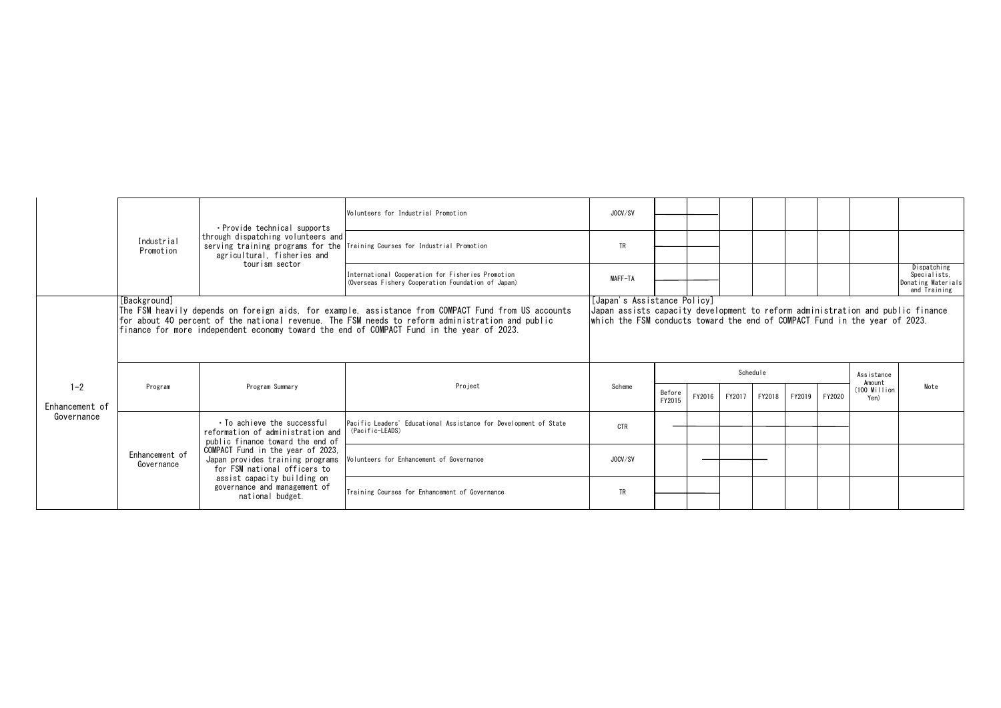|                           |                                                                                                                                                                                                                                                                                                                    | · Provide technical supports<br>through dispatching volunteers and<br>agricultural, fisheries and<br>tourism sector                                                                                                                                                                                                | Volunteers for Industrial Promotion                                                                     | JOCV/SV   |                  |        |        |        |        |        |                      |                                                                   |
|---------------------------|--------------------------------------------------------------------------------------------------------------------------------------------------------------------------------------------------------------------------------------------------------------------------------------------------------------------|--------------------------------------------------------------------------------------------------------------------------------------------------------------------------------------------------------------------------------------------------------------------------------------------------------------------|---------------------------------------------------------------------------------------------------------|-----------|------------------|--------|--------|--------|--------|--------|----------------------|-------------------------------------------------------------------|
|                           | Industrial<br>Promotion                                                                                                                                                                                                                                                                                            |                                                                                                                                                                                                                                                                                                                    | serving training programs for the Training Courses for Industrial Promotion                             | <b>TR</b> |                  |        |        |        |        |        |                      |                                                                   |
|                           |                                                                                                                                                                                                                                                                                                                    |                                                                                                                                                                                                                                                                                                                    | International Cooperation for Fisheries Promotion<br>(Overseas Fishery Cooperation Foundation of Japan) | MAFF-TA   |                  |        |        |        |        |        |                      | Dispatching<br>Specialists.<br>Donating Materials<br>and Training |
|                           | [Background]<br>The FSM heavily depends on foreign aids, for example, assistance from COMPACT Fund from US accounts<br>for about 40 percent of the national revenue. The FSM needs to reform administration and public<br>finance for more independent economy toward the end of COMPACT Fund in the year of 2023. | [Japan's Assistance Policy]<br>Japan assists capacity development to reform administration and public finance<br>which the FSM conducts toward the end of COMPACT Fund in the year of 2023.                                                                                                                        |                                                                                                         |           |                  |        |        |        |        |        |                      |                                                                   |
|                           |                                                                                                                                                                                                                                                                                                                    |                                                                                                                                                                                                                                                                                                                    |                                                                                                         |           | Schedule         |        |        |        |        |        | Assistance<br>Amount |                                                                   |
| $1 - 2$<br>Enhancement of | Program                                                                                                                                                                                                                                                                                                            | Program Summary                                                                                                                                                                                                                                                                                                    | Project                                                                                                 | Scheme    | Before<br>FY2015 | FY2016 | FY2017 | FY2018 | FY2019 | FY2020 | (100 Million<br>Yen) | Note                                                              |
| Governance                |                                                                                                                                                                                                                                                                                                                    | . To achieve the successful<br>reformation of administration and   (Pacific-LEADS)<br>public finance toward the end of<br>COMPACT Fund in the year of 2023.<br>Japan provides training programs<br>for FSM national officers to<br>assist capacity building on<br>governance and management of<br>national budget. | Pacific Leaders' Educational Assistance for Development of State                                        | CTR       |                  |        |        |        |        |        |                      |                                                                   |
|                           | Enhancement of<br>Governance                                                                                                                                                                                                                                                                                       |                                                                                                                                                                                                                                                                                                                    | Volunteers for Enhancement of Governance                                                                | JOCV/SV   |                  |        |        |        |        |        |                      |                                                                   |
|                           |                                                                                                                                                                                                                                                                                                                    |                                                                                                                                                                                                                                                                                                                    | Training Courses for Enhancement of Governance                                                          | TR        |                  |        |        |        |        |        |                      |                                                                   |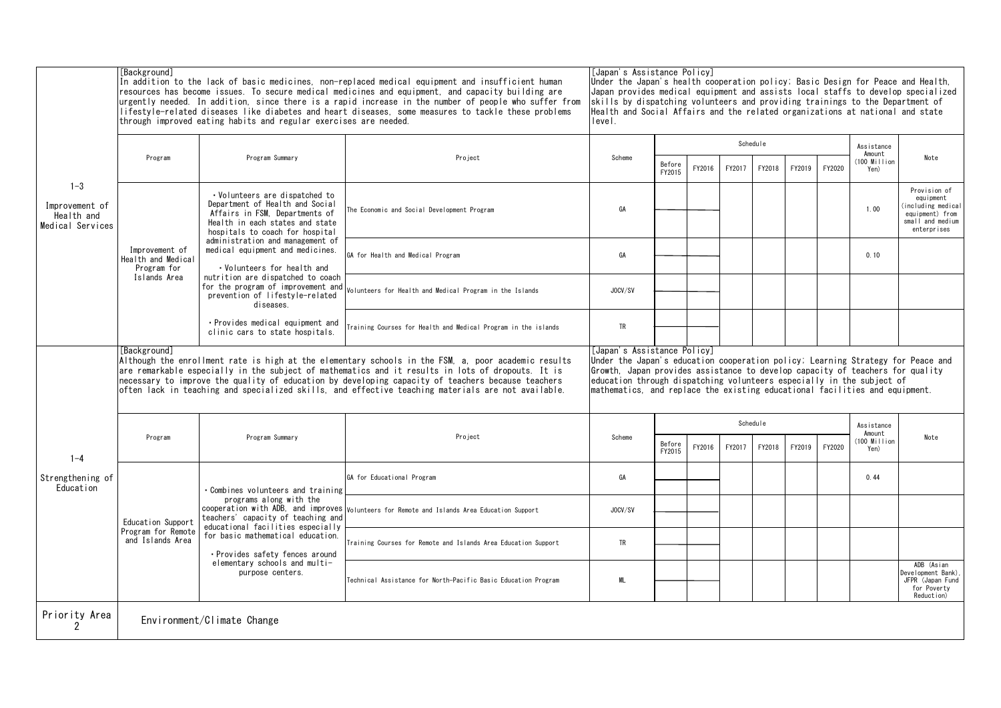|                                                             | [Background]<br>In addition to the lack of basic medicines, non-replaced medical equipment and insufficient human<br>resources has become issues. To secure medical medicines and equipment, and capacity building are<br>urgently needed. In addition, since there is a rapid increase in the number of people who suffer from<br>lifestyle-related diseases like diabetes and heart diseases. some measures to tackle these problems<br>through improved eating habits and regular exercises are needed. |                                                                                                                                                                                                                                                                                                                                                         |                                                                                             |           | [Japan's Assistance Policy]<br>Under the Japan's health cooperation policy; Basic Design for Peace and Health,<br>Japan provides medical equipment and assists local staffs to develop specialized<br>skills by dispatching volunteers and providing trainings to the Department of<br>Health and Social Affairs and the related organizations at national and state<br>level. |        |        |          |        |        |                        |                                                                                                      |  |  |
|-------------------------------------------------------------|------------------------------------------------------------------------------------------------------------------------------------------------------------------------------------------------------------------------------------------------------------------------------------------------------------------------------------------------------------------------------------------------------------------------------------------------------------------------------------------------------------|---------------------------------------------------------------------------------------------------------------------------------------------------------------------------------------------------------------------------------------------------------------------------------------------------------------------------------------------------------|---------------------------------------------------------------------------------------------|-----------|--------------------------------------------------------------------------------------------------------------------------------------------------------------------------------------------------------------------------------------------------------------------------------------------------------------------------------------------------------------------------------|--------|--------|----------|--------|--------|------------------------|------------------------------------------------------------------------------------------------------|--|--|
|                                                             | Program                                                                                                                                                                                                                                                                                                                                                                                                                                                                                                    | Program Summary                                                                                                                                                                                                                                                                                                                                         | Project                                                                                     | Scheme    |                                                                                                                                                                                                                                                                                                                                                                                |        |        | Schedule |        |        | Assistance<br>Amount   | Note                                                                                                 |  |  |
|                                                             |                                                                                                                                                                                                                                                                                                                                                                                                                                                                                                            |                                                                                                                                                                                                                                                                                                                                                         |                                                                                             |           | Before<br>FY2015                                                                                                                                                                                                                                                                                                                                                               | FY2016 | FY2017 | FY2018   | FY2019 | FY2020 | $(100$ Million<br>Yen) |                                                                                                      |  |  |
| $1 - 3$<br>Improvement of<br>Health and<br>Medical Services |                                                                                                                                                                                                                                                                                                                                                                                                                                                                                                            | • Volunteers are dispatched to<br>Department of Health and Social<br>Affairs in FSM. Departments of<br>Health in each states and state<br>hospitals to coach for hospital                                                                                                                                                                               | The Economic and Social Development Program                                                 | GA        |                                                                                                                                                                                                                                                                                                                                                                                |        |        |          |        |        | 1.00                   | Provision of<br>equipment<br>including medical<br>equipment) from<br>small and medium<br>enterprises |  |  |
|                                                             | Improvement of<br>Health and Medical<br>Program for                                                                                                                                                                                                                                                                                                                                                                                                                                                        | administration and management of<br>medical equipment and medicines.<br>• Volunteers for health and                                                                                                                                                                                                                                                     | GA for Health and Medical Program                                                           | GA        |                                                                                                                                                                                                                                                                                                                                                                                |        |        |          |        |        | 0.10                   |                                                                                                      |  |  |
|                                                             | Islands Area                                                                                                                                                                                                                                                                                                                                                                                                                                                                                               | nutrition are dispatched to coach<br>for the program of improvement and<br>prevention of lifestyle-related<br>diseases.                                                                                                                                                                                                                                 | olunteers for Health and Medical Program in the Islands                                     | JOCV/SV   |                                                                                                                                                                                                                                                                                                                                                                                |        |        |          |        |        |                        |                                                                                                      |  |  |
|                                                             |                                                                                                                                                                                                                                                                                                                                                                                                                                                                                                            | • Provides medical equipment and<br>clinic cars to state hospitals.                                                                                                                                                                                                                                                                                     | Training Courses for Health and Medical Program in the islands                              | <b>TR</b> |                                                                                                                                                                                                                                                                                                                                                                                |        |        |          |        |        |                        |                                                                                                      |  |  |
|                                                             | [Background]<br>Although the enrollment rate is high at the elementary schools in the FSM, a, poor academic results<br>are remarkable especially in the subject of mathematics and it results in lots of dropouts. It is<br>necessary to improve the quality of education by developing capacity of teachers because teachers<br>often lack in teaching and specialized skills, and effective teaching materials are not available.                                                                        | [Japan's Assistance Policy]<br>Under the Japan's education cooperation policy; Learning Strategy for Peace and<br>Growth. Japan provides assistance to develop capacity of teachers for quality<br>education through dispatching volunteers especially in the subject of<br>mathematics, and replace the existing educational facilities and equipment. |                                                                                             |           |                                                                                                                                                                                                                                                                                                                                                                                |        |        |          |        |        |                        |                                                                                                      |  |  |
|                                                             |                                                                                                                                                                                                                                                                                                                                                                                                                                                                                                            |                                                                                                                                                                                                                                                                                                                                                         | Project                                                                                     | Schedule  |                                                                                                                                                                                                                                                                                                                                                                                |        |        |          |        |        | Assistance<br>Amount   |                                                                                                      |  |  |
| $1 - 4$                                                     | Program                                                                                                                                                                                                                                                                                                                                                                                                                                                                                                    | Program Summary                                                                                                                                                                                                                                                                                                                                         |                                                                                             | Scheme    | Before<br>FY2015                                                                                                                                                                                                                                                                                                                                                               | FY2016 | FY2017 | FY2018   | FY2019 | FY2020 | $(100$ Million<br>Yen) | Note                                                                                                 |  |  |
| Strengthening of<br>Education                               |                                                                                                                                                                                                                                                                                                                                                                                                                                                                                                            | Combines volunteers and training                                                                                                                                                                                                                                                                                                                        | GA for Educational Program                                                                  | GA        |                                                                                                                                                                                                                                                                                                                                                                                |        |        |          |        |        | 0.44                   |                                                                                                      |  |  |
|                                                             | Education Support                                                                                                                                                                                                                                                                                                                                                                                                                                                                                          | programs along with the<br>teachers' capacity of teaching and<br>educational facilities especially                                                                                                                                                                                                                                                      | cooperation with ADB, and improves Volunteers for Remote and Islands Area Education Support | JOCV/SV   |                                                                                                                                                                                                                                                                                                                                                                                |        |        |          |        |        |                        |                                                                                                      |  |  |
|                                                             | Program for Remote<br>and Islands Area                                                                                                                                                                                                                                                                                                                                                                                                                                                                     | for basic mathematical education.<br>· Provides safety fences around<br>elementary schools and multi-<br>purpose centers.                                                                                                                                                                                                                               | Training Courses for Remote and Islands Area Education Support                              | TR        |                                                                                                                                                                                                                                                                                                                                                                                |        |        |          |        |        |                        |                                                                                                      |  |  |
|                                                             |                                                                                                                                                                                                                                                                                                                                                                                                                                                                                                            |                                                                                                                                                                                                                                                                                                                                                         | Technical Assistance for North-Pacific Basic Education Program                              | ML        |                                                                                                                                                                                                                                                                                                                                                                                |        |        |          |        |        |                        | ADB (Asian<br>Development Bank)<br>JFPR (Japan Fund<br>for Poverty<br>Reduction)                     |  |  |
| Priority Area<br>$\overline{2}$                             |                                                                                                                                                                                                                                                                                                                                                                                                                                                                                                            | Environment/Climate Change                                                                                                                                                                                                                                                                                                                              |                                                                                             |           |                                                                                                                                                                                                                                                                                                                                                                                |        |        |          |        |        |                        |                                                                                                      |  |  |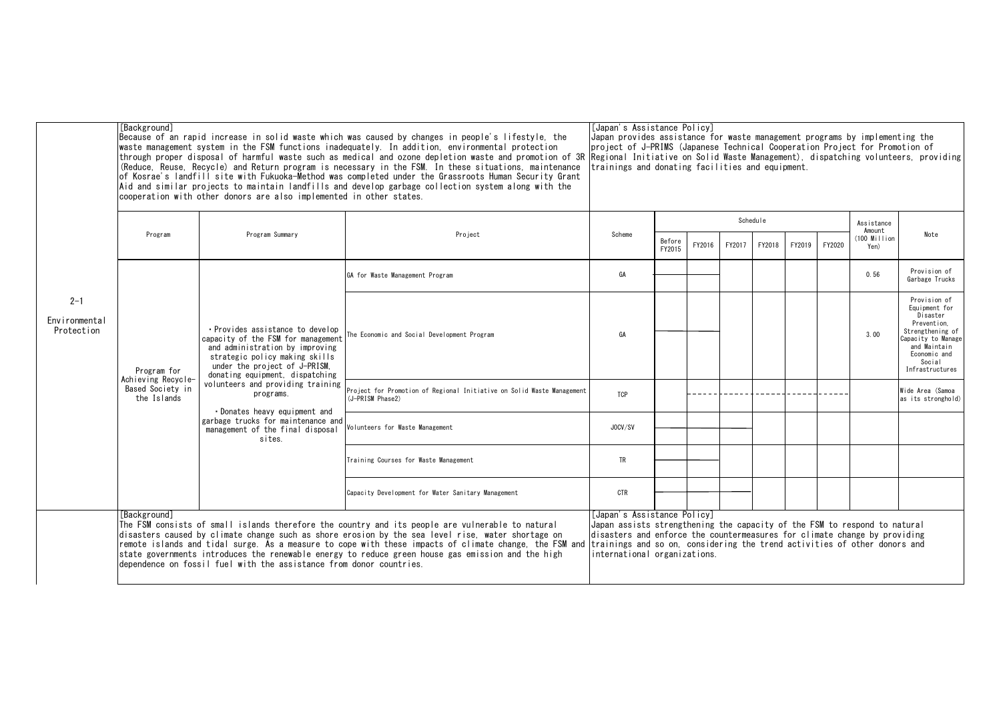|                                        | [Background]<br>Because of an rapid increase in solid waste which was caused by changes in people's lifestyle, the<br>waste management system in the FSM functions inadequately. In addition, environmental protection<br>through proper disposal of harmful waste such as medical and ozone depletion waste and promotion of 3R<br>(Reduce, Reuse, Recycle) and Return program is necessary in the FSM. In these situations, maintenance<br>of Kosrae's landfill site with Fukuoka-Method was completed under the Grassroots Human Security Grant<br>Aid and similar projects to maintain landfills and develop garbage collection system along with the<br>cooperation with other donors are also implemented in other states. | [Japan's Assistance Policy]<br>Japan provides assistance for waste management programs by implementing the<br>project of J-PRIMS (Japanese Technical Cooperation Project for Promotion of<br>Regional Initiative on Solid Waste Management), dispatching volunteers, providing<br>trainings and donating facilities and equipment.                                                     |                                                                                                                                                                                                                                                                                                                                                                                                                      |                                                                                                                                                                                                                                                                                                    |                  |        |          |            |        |        |                                  |                                                                                                                                                                 |
|----------------------------------------|----------------------------------------------------------------------------------------------------------------------------------------------------------------------------------------------------------------------------------------------------------------------------------------------------------------------------------------------------------------------------------------------------------------------------------------------------------------------------------------------------------------------------------------------------------------------------------------------------------------------------------------------------------------------------------------------------------------------------------|----------------------------------------------------------------------------------------------------------------------------------------------------------------------------------------------------------------------------------------------------------------------------------------------------------------------------------------------------------------------------------------|----------------------------------------------------------------------------------------------------------------------------------------------------------------------------------------------------------------------------------------------------------------------------------------------------------------------------------------------------------------------------------------------------------------------|----------------------------------------------------------------------------------------------------------------------------------------------------------------------------------------------------------------------------------------------------------------------------------------------------|------------------|--------|----------|------------|--------|--------|----------------------------------|-----------------------------------------------------------------------------------------------------------------------------------------------------------------|
|                                        |                                                                                                                                                                                                                                                                                                                                                                                                                                                                                                                                                                                                                                                                                                                                  |                                                                                                                                                                                                                                                                                                                                                                                        |                                                                                                                                                                                                                                                                                                                                                                                                                      |                                                                                                                                                                                                                                                                                                    |                  |        | Schedule | Assistance |        |        |                                  |                                                                                                                                                                 |
|                                        | Program                                                                                                                                                                                                                                                                                                                                                                                                                                                                                                                                                                                                                                                                                                                          | Program Summary                                                                                                                                                                                                                                                                                                                                                                        | Project                                                                                                                                                                                                                                                                                                                                                                                                              | Scheme                                                                                                                                                                                                                                                                                             | Before<br>FY2015 | FY2016 | FY2017   | FY2018     | FY2019 | FY2020 | Amount<br>$(100$ Million<br>Yen) | Note                                                                                                                                                            |
|                                        |                                                                                                                                                                                                                                                                                                                                                                                                                                                                                                                                                                                                                                                                                                                                  |                                                                                                                                                                                                                                                                                                                                                                                        | GA for Waste Management Program                                                                                                                                                                                                                                                                                                                                                                                      | GA                                                                                                                                                                                                                                                                                                 |                  |        |          |            |        |        | 0.56                             | Provision of<br>Garbage Trucks                                                                                                                                  |
| $2 - 1$<br>Environmental<br>Protection | Program for<br>Achieving Recycle-<br>Based Society in<br>the Islands                                                                                                                                                                                                                                                                                                                                                                                                                                                                                                                                                                                                                                                             | • Provides assistance to develop<br>capacity of the FSM for management<br>and administration by improving<br>strategic policy making skills<br>under the project of J-PRISM.<br>donating equipment, dispatching<br>volunteers and providing training<br>programs.<br>• Donates heavy equipment and<br>garbage trucks for maintenance and<br>management of the final disposal<br>sites. | The Economic and Social Development Program                                                                                                                                                                                                                                                                                                                                                                          | GA                                                                                                                                                                                                                                                                                                 |                  |        |          |            |        |        | 3.00                             | Provision of<br>Equipment for<br>Disaster<br>Prevention.<br>Strengthening of<br>Capacity to Manage<br>and Maintain<br>Economic and<br>Social<br>Infrastructures |
|                                        |                                                                                                                                                                                                                                                                                                                                                                                                                                                                                                                                                                                                                                                                                                                                  |                                                                                                                                                                                                                                                                                                                                                                                        | Project for Promotion of Regional Initiative on Solid Waste Management<br>(J-PRISM Phase2)                                                                                                                                                                                                                                                                                                                           | TCP                                                                                                                                                                                                                                                                                                |                  |        |          |            |        |        |                                  | Wide Area (Samoa<br>as its stronghold)                                                                                                                          |
|                                        |                                                                                                                                                                                                                                                                                                                                                                                                                                                                                                                                                                                                                                                                                                                                  |                                                                                                                                                                                                                                                                                                                                                                                        | Volunteers for Waste Management                                                                                                                                                                                                                                                                                                                                                                                      | JOCV/SV                                                                                                                                                                                                                                                                                            |                  |        |          |            |        |        |                                  |                                                                                                                                                                 |
|                                        |                                                                                                                                                                                                                                                                                                                                                                                                                                                                                                                                                                                                                                                                                                                                  |                                                                                                                                                                                                                                                                                                                                                                                        | Training Courses for Waste Management                                                                                                                                                                                                                                                                                                                                                                                | <b>TR</b>                                                                                                                                                                                                                                                                                          |                  |        |          |            |        |        |                                  |                                                                                                                                                                 |
|                                        |                                                                                                                                                                                                                                                                                                                                                                                                                                                                                                                                                                                                                                                                                                                                  |                                                                                                                                                                                                                                                                                                                                                                                        | Capacity Development for Water Sanitary Management                                                                                                                                                                                                                                                                                                                                                                   | CTR                                                                                                                                                                                                                                                                                                |                  |        |          |            |        |        |                                  |                                                                                                                                                                 |
|                                        | [Background]                                                                                                                                                                                                                                                                                                                                                                                                                                                                                                                                                                                                                                                                                                                     | dependence on fossil fuel with the assistance from donor countries.                                                                                                                                                                                                                                                                                                                    | The FSM consists of small islands therefore the country and its people are vulnerable to natural<br>disasters caused by climate change such as shore erosion by the sea level rise, water shortage on<br>remote islands and tidal surge. As a measure to cope with these impacts of climate change, the FSM and<br>state governments introduces the renewable energy to reduce green house gas emission and the high | [Japan's Assistance Policy]<br>Japan assists strengthening the capacity of the FSM to respond to natural<br>disasters and enforce the countermeasures for climate change by providing<br>trainings and so on, considering the trend activities of other donors and<br>international organizations. |                  |        |          |            |        |        |                                  |                                                                                                                                                                 |